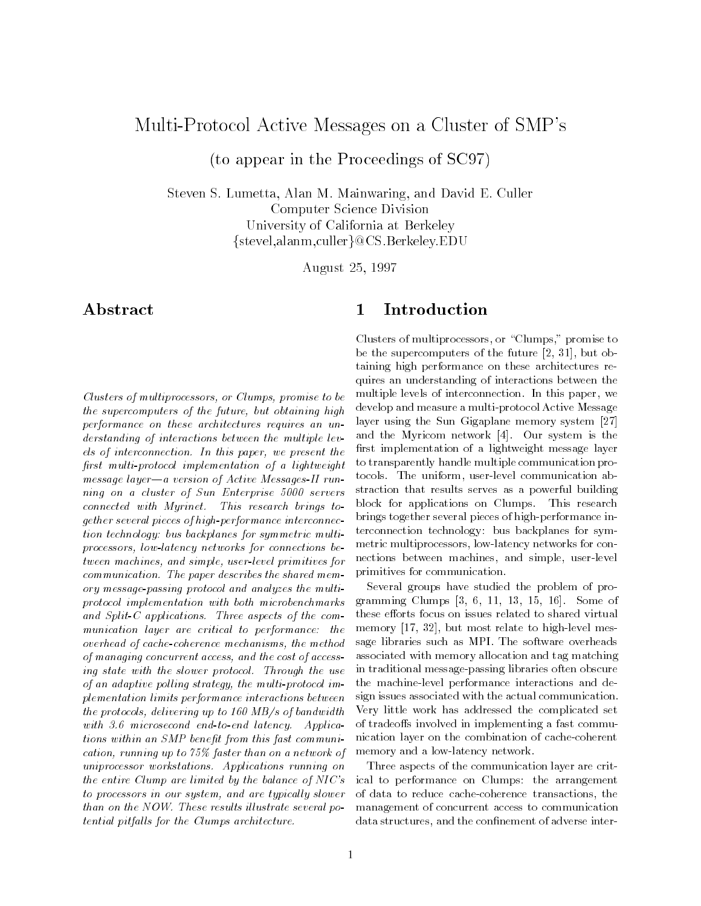## $\mathcal{L}$  . The column state  $\mathcal{L}$  and  $\mathcal{L}$

to appear in the Proceedings of SC- $\mu$   $\mu$ 

steven Steven Steven Steven Steven Steven Steven Steven Steven Steven Steven Steven Steven Steven Steven Steve Computer Science Division University of California at Berkeley  $\{ {\rm steep, alamm, culler} \} @{\rm CS.Berkeley. EDU}$ 

August 

## Abstract

Clusters of multiprocessors- or Clumps- promise to be the supercomputers of the future- but obtaining high performance on these architectures requires an un derstanding of interactions between the multiple lev els of interconnection In this paper- we present the first multi-protocol implementation of a lightweight message layer—a version of  $Active$  Messages-II running on a cluster of Sun Enterprise  $5000$  servers  $connected \ with \ Myrinet.$  This research brings together several pieces of high-performance interconnection technology: bus backplanes for symmetric multiprocessors- lowlatency networks for connections be tween machiness, which campaign we are release primitives for  $communication.$  The paper describes the shared memory message-passing protocol and analyzes the multiprotocol implementation with both microbenchmarks and Split-C applications. Three aspects of the communication layer are critical to performance: the overhead of cachecoherence mechanisms- the method of managing concurrent access-to-concurrent access-to-cost of access-to-cost of access-to-cost of access-to-co ing state with the slower protocol. Through the use of an adaptive political interventions of the multiple political interventions of the multiple political interventions of the multiple political interventions of the multiple political interventions of the multiple politic plementation limits performance interactions between the protocols- delivering up to MBs of bandwidth with  $3.6$  microsecond end-to-end latency. Applications within an SMP benefit from this fast communication-than on a network of the state than on a network of the state of the state of the state of the state of uniprocessor workstations. Applications running on the entire Clump are limited by the balance of  $NIC's$ to processors in our system- and are typical ly slower than on the NOW. These results illustrate several po $tential$  pitfalls for the Clumps architecture.

#### $\mathbf 1$ Introduction

clusters of multiples containing to control promise to be the supercomputers of the future -  $\mathbf{p}$ taining high performance on these architectures re quires an understanding of interactions between the multiple levels of interconnection interconnection in the interconnection In this paperdevelop and measure a multi protocol Active Message layer using the Sun Gigaplane memory system [27] and the Myricom network [4]. Our system is the first implementation of a lightweight message layer to transparently handle multiple communication pro tocols The uniform- user level communication ab straction that results serves as a powerful building block for applications on Clumps. This research brings together several pieces of high performance in terconnection technology: bus backplanes for symmetric multiprocessors- low latency networks for con nections between machines- and simple- user level primitives for communication

Several groups have studied the problem of pro gramming control of the collect the control of the co these efforts focus on issues related to shared virtual memory - but most relate to high problem in the contract of the contract of the contract of the contract of the contract of the contract of the contract of the contract of the contract of the contract of the contract of th sage libraries such as MPI. The software overheads associated with memory allocation and tag matching in traditional message passing libraries often obscure the machine level performance interactions and de sign issues associated with the actual communication Very little work has addressed the complicated set of tradeoffs involved in implementing a fast communication layer on the combination of cache coherent memory and a low latency network

Three aspects of the communication layer are crit ical to performance on Clumps: the arrangement of data to reduce cache coherence transactions- the management of concurrent access to communication adverse the connection of a distribution of a connection of a distribution of adverse interesting to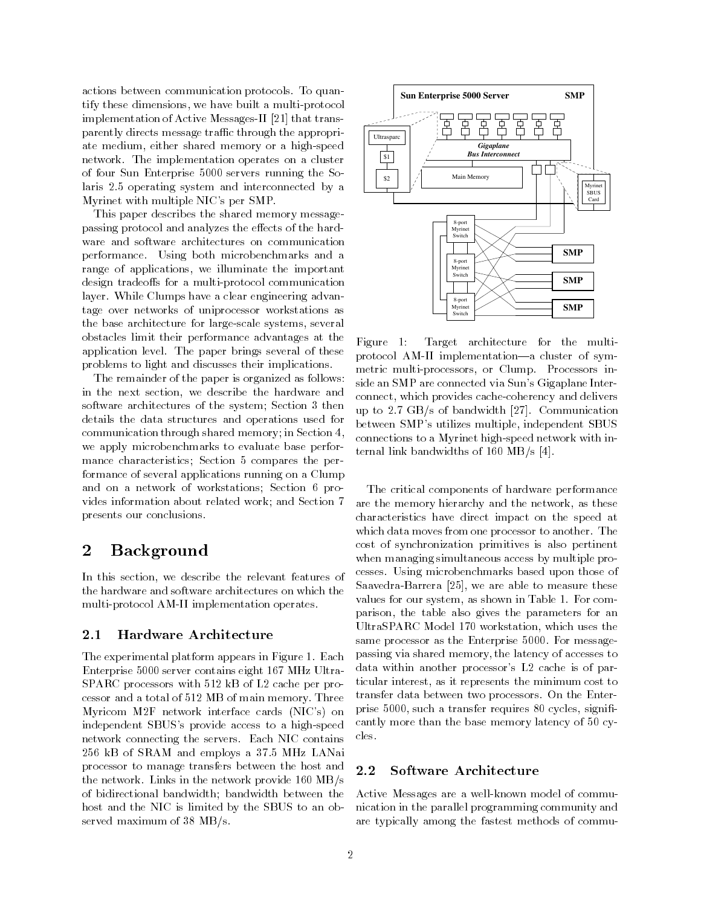actions between communication protocols To quan tify these dimensions of the multi-dimension measure protocol implementation of the the transfer of  $\mathcal{A}$  is the transfer  $\mathcal{A}$ parently directs message traffic through the appropriate medium- either shared memory or a high speed network The implementation operates on a cluster of four Sun Enterprise 5000 servers running the Solaris 2.5 operating system and interconnected by a Myrinet with multiple NIC's per SMP.

This paper describes the shared memory message passing protocol and analyzes the effects of the hardware and software architectures on communication performance Using both microbenchmarks and a range or appearanters, as increases in the important design tradeos for a multiplier of a multiplier of a multiplier of a multiplier of a multiplier of a multiplier layer. While Clumps have a clear engineering advantage over networks of uniprocessor workstations as the base architecture for large scale systems- several obstacles limit their performance advantages at the  $\frac{1}{2}$ application level. The paper brings several of these problems to light and discusses their implications

The remainder of the paper is organized as follows in the next section-  $\alpha$  and  $\alpha$ software architectures of the system; Section 3 then details the data structures and operations used for communication through shared memory; in Section 4, we apply microbenchmarks to evaluate base perfor mance characteristics; Section 5 compares the performance of several applications running on a Clump and on a network of workstations; Section 6 provides information about related work; and Section 7 presents our conclusions

#### Background  $\bf{2}$

In this section- we describe the relevant features of the hardware and software architectures on which the multipation in the model of the complete station of the station of the station of the station of the station o

#### Hardware Architecture 2.1

The experimental platform appears in Figure 1. Each Enterprise 5000 server contains eight 167 MHz Ultra-SPARC processors with  $512$  kB of L2 cache per processor and a total of 512 MB of main memory. Three Myricom M2F network interface cards (NIC's) on independent SBUSs provide access to a high speed network connecting the servers Each NIC contains 256 kB of SRAM and employs a 37.5 MHz LANai processor to manage transfers between the host and 22 the network. Links in the network provide  $160 \text{ MB/s}$ of bidirectional bandwidth bandwidth between the host and the NIC is limited by the SBUS to an ob served maximum of  $38$  MB/s.



 connections to a Myrinet high speed network with in ternal link bandwidths of 100 MB/s [4]. Target architecture for the multiprotocol AM II implementationa cluster of sym metric multi processors- or Clump Processors in side an SMP are connected via Sun's Gigaplane Interconnect-beneficial provides cacheeres cacheeres cacheeres cacheeres cacheeres cacheeres cacheeres cacheeres ca up to  $2.7 \text{ GB/s}$  of bandwidth [27]. Communication between SMPs utilizes multiple-states multiple-states multiple-states multiple-states multiple-states multiple-

The critical components of hardware performance are the memory hierarchy and the memory hierarchy and the network-the networkcharacteristics have direct impact on the speed at which data moves from one processor to another. The cost of synchronization primitives is also pertinent when managing simultaneous access by multiple pro cesses Using microbenchmarks based upon those of saavedra maarrera jooga weerdraar ableedraar waard too m values for a shown in the state of the second terms of the state of the state of the state of the state of the parison- the table also gives the parameters for an UltraSpace of the SPARC Model was the second which was the second that the second second the second second second second second second second second second second second second second second second second second second sec same processor as the Enterprise 5000. For messagepassing via shared memory, in the latency of accesses to access data within another processor's  $L2$  cache is of particular interest- as it represents the minimum cost to transfer data between two processors On the Enter prise - such a transfer requires cycles-in-transfer requires cycles-in-transfer requires cycles-in-transfer cantly more than the base memory latency of  $50$  cycles

### Software Architecture

nication in the parallel programming community and a Active Messages are a well known model of commu are typically among the fastest methods of commu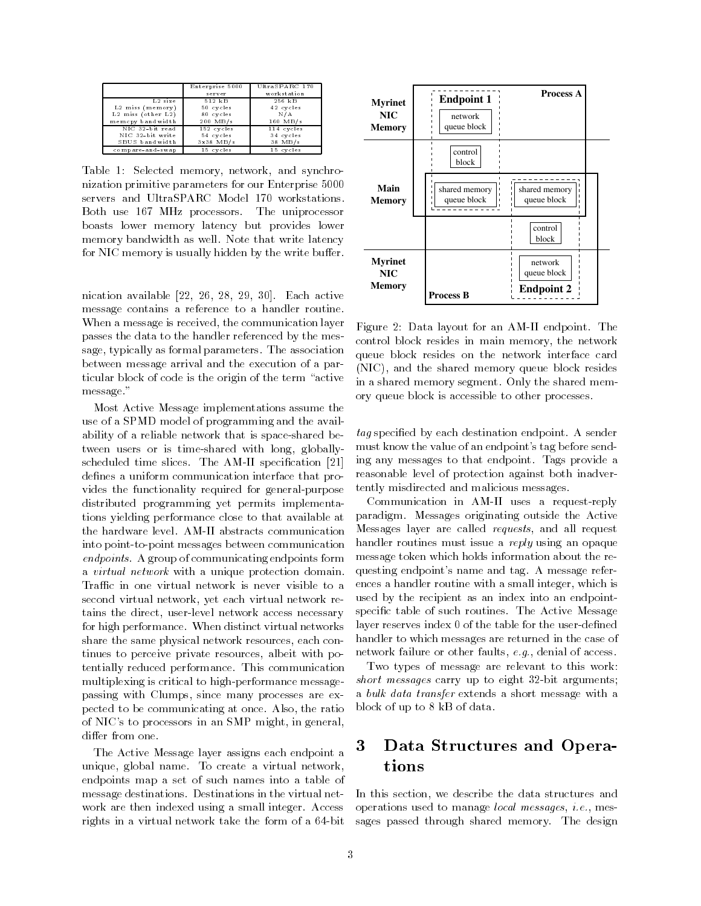|                    | Enterprise 5000 | UltraSPARC 170 |
|--------------------|-----------------|----------------|
|                    | server          | workstation    |
| $L2 \, size$       | 512 kB          | 256 kB         |
| $L2$ miss (memory) | 50 cycles       | 42 cycles      |
| L2 miss (other L2) | 80 cycles       | N/A            |
| memopy bandwidth   | 200 MB/s        | $160$ MB/s     |
| NIC 32-bit read    | 152 cycles      | 114 cycles     |
| NIC 32-bit write   | 54 cycles       | 34 cycles      |
| SBUS bandwidth     | $3x38$ MB/s     | 38 MB/s        |
| compare-and-swap   | 15 cycles       | 15 cycles      |

- network- in the state memory of the synchronous system in the synchronous synchronous synchronous system in the synchronous system in the synchronous system in the synchronous system in the system in the synchronous syst nization primitive parameters for our Enterprise servers and UltraSPARC Model 170 workstations. Both use 167 MHz processors. The uniprocessor boasts lower memory latency but provides lower memory bandwidth as well. Note that write latency for NIC memory is usually hidden by the write buffer.

nication available - available - available - available - available - available - available - available - avail message contains a reference to a handler routine When a message is received- the communication layer passes the data to the handler referenced by the mes sage- typically as formal parameters The association between message arrival and the execution of a par ticular block of code is the origin of the term "active message."

Most Active Message implementations assume the use of a SPMD model of programming and the avail ability of a reliable network that is spaced by the interest of the the second with long-state with long-state  $\mathbf{q}$  ,  $\mathbf{q}$ scheduled times slices The American Specification (AM) defines a uniform communication interface that provides the functionality required for general purposes of general purposes and general purposes are general purposes of general purposes and general purposes are general purposes and general purposes are general purposes an distributed programming yet permits implementa tions yielding performance close to that available at into point to point messages between communication endpoints A group of communicating endpoints form a *virtual network* with a unique protection domain. Traffic in one virtual network is never visible to a second virtual networker yet each virtual networker is a tains the direct- user level network access necessary for high performance When distinct virtual networks share the same physical network resources and  $\sim$ tinues to perceive private resources- albeit with po tentially reduced performance. This communication multiplexing is critical to high performance message passing with Clumps- since many processes are ex pected to be communicating at once Also- the ratio of NICs to processors in an SMP might- in generaldiffer from one.

The Active Message layer assigns each endpoint a unique, global name to create a virtual networkendpoints map a set of such names into a table of message destinations Destinations in the virtual net work are then indexed using a small integer Access rights in a virtual network take the form of a bit



 control block resides in main memory- the network NIC- and the shared memory queue block resides Figure 1. The annual contract for an AM in American contract of the annual contract of the state of the state of the state of the state of the state of the state of the state of the state of the state of the state of the s queue block resides on the network interface card in a shared memory segment. Only the shared memory queue block is accessible to other processes

 $tag$  specified by each destination endpoint. A sender must know the value of an endpoint's tag before sending any messages to that endpoint Tags provide a reasonable level of protection against both inadver tently misdirected and malicious messages

Communication in AM II uses a request reply paradigm Messages originating outside the Active Messages layer are called requests- and all request handler routines must issue a *reply* using an opaque message token which holds information about the re questing endpoint's name and tag. A message references a handler routine with a small integer-term and the small integer-term and the small integerused by the recipient as an index into an endpoint specific table of such routines. The Active Message layer reserves index of the table for the user dened handler to which messages are returned in the case of network failure or other faults-factors  $\mathbf{d} \cdot \mathbf{d}$  access to access the access of access to access the access of access to access the access of access to access the access of access to access the access of access to

 short messages carry up to eight bit arguments Two types of message are relevant to this work a bulk data transfer extends a short message with a block of up to 8 kB of data.

# Data Structures and Opera tions

 In this section- we describe the data structures and operations was done that the manager is such messages, we say that we sages passed through shared memory. The design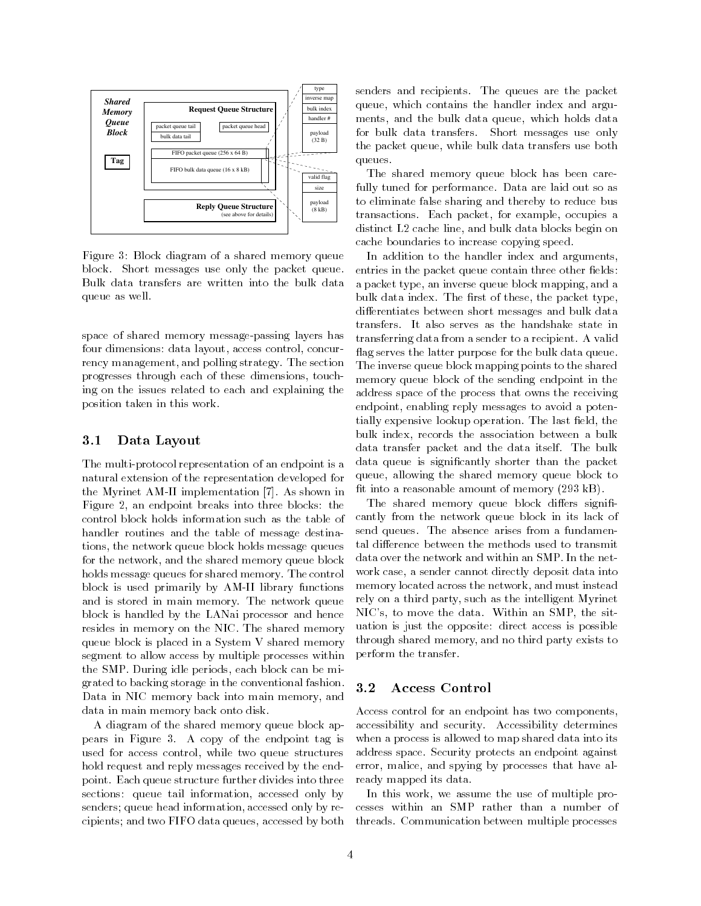

Figure 3: Block diagram of a shared memory queue block Short messages use only the packet queue Bulk data transfers are written into the bulk data queue as well

space of shared memory message passing layers has four dimensions data layout- access control- concur rency management- and polling strategy The section progresses through each of these dimensions- touch ing on the issues related to each and explaining the position taken in this work

#### 3.1 Data Layout

protocol representation of an endpoint is an endpoint in an endpoint in an endpoint is an end of an end of an natural extension of the representation developed for the more than the Myrine and the Myrine in the Myrine and  $\alpha$ Figure - an endpoint breaks into three blocks the control block holds information such as the table of handler routines and the table of message destina tions-block holds message queues message queues message que un message que un message que un message que un me for the network- and the shared memory queue block holds message queues for shared memory. The control block is used primarily by AM in the primarily by AM in the primarily by AM in the primarily by AM in the primarily by AM in the primarily by AM in the primarily by AM in the primarily by AM in the primarily by AM in the p and is stored in main memory The network queue block is handled by the LANai processor and hence resides in memory on the NIC The shared memory queue block is placed in a System V shared memory segment to allow access by multiple processes within the SMP During ideal of the SMP During ideal of the SMP During ideal of the SMP During ideal of the SMP During ideal of the SMP During ideal of the SMP During ideal of the SMP During ideal of the SMP During ideal of the SM grated to backing storage in the conventional fashion a did in Nicola and the state into memory and memory-planets data in main memory back onto disk

A diagram of the shared memory queue block ap pears in Figure 3. A copy of the endpoint tag is used for access control- while two queue structures control- while two queuestic two queuestic two queuestic t hold request and reply messages received by the end point. Each queue structure further divides into three sections queue this information- we compute the post of senders queue head information- accessed only by re cipients and two FIFO data queues-two first and two first

senders and recipients. The queues are the packet queue, which contains the handler induced arguments  $\mathbf{r}$ ments- and the bulk data queue- which holds data for bulk data transfers. Short messages use only the packet queue-bulk data transfers use both data transfers use both data transfers use both data transfers u queues

The shared memory queue block has been care fully tuned for performance. Data are laid out so as to eliminate false sharing and thereby to reduce bus transactions Each packet- for example- occupies a and bulk data blocks blocks blocks blocks blocks blocks blocks blocks blocks blocks blocks blocks blocks block cache boundaries to increase copying speed

In addition to the handler index and arguments, entries in the packet queue contain three other fields: a packet type-block mapping-block mapping-block mapping-block mapping-block mapping-block mapping-block mappingbulk data index The rst of these- the packet typedifferentiates between short messages and bulk data dierentiates between short messages and bulk data transfers It also serves as the handshake state in transferring data from a sender to a recipient. A valid ag serves the latter purpose for the bulk data queue The inverse queue block mapping points to the shared memory queue block of the sending endpoint in the address space of the process that owns the receiving endepointent characterized reply messages to avoid a potential tially expensive lookup operation The last eld- the bulk index- records the association between a bulk data transfer packet and the data itself. The bulk data queue is signicantly shorter than the packet queue-to-block to-block to-block to-block to-block to-block to-block to-block to-block to-block to-block to-block to-block to-block to-block to-block to-block to-block to-block to-block to-block to-block to-block to-block fit into a reasonable amount of memory  $(293 \text{ kB})$ .

The shared memory queue block differs significantly from the network queue block in its lack of send queues. The absence arises from a fundamental difference between the methods used to transmit data over the network and within an SMP In the net work case- a sender cannot directly deposit directly directly directly directly directly and  $\sim$ memory located across the network- and must instead rely and interesting party-ly where we have matching the intelligent  $\mathcal{L}$ NICs- to move the data Within an SMP- the sit uation is just the opposite: direct access is possible through shared memory-distribution and no third party exists to the control party exists to the control party exists to the control party exists to the control party exists to the control party exists to the control party perform the transfer

#### Access Control  $3.2$

accessibility and security  $\mathcal{A}$  and security determines and security determines and security determines and security determines and security determines and security determines and security determines and security dete error- malice- and spying by processes that have al Access control for an endpoint has two components, when a process is allowed to map shared data into its address space Security protects an endpoint against ready mapped its data

an this work, we multiple this was assumed pro threads Communication between multiple processes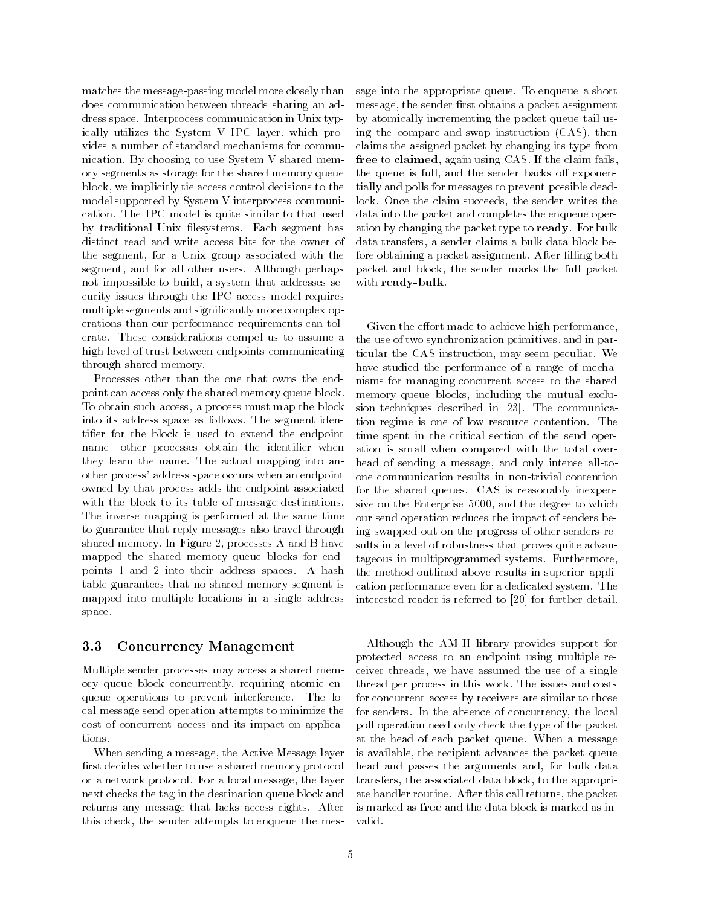matches the message passing model more closely than does communication between threads sharing an ad dress space Interprocess communication in Unix typ ically utilizes the System V IPC layer- which pro vides a number of standard mechanisms for commu nication. By choosing to use System V shared memory segments as storage for the shared memory queue block-tie access control decisions ties access control decisions ties access control decisions to the control d model supported by System V interprocess communi cation The IPC model is quite similar to that used by traditional Unix filesystems. Each segment has distinct read and write access bits for the owner of the segment-category associated with the second with the second with the second with the second with the second segment- and for all others and for all other all perhaps  $\mathcal{A}$ not impossible to build-build-build-build-build-build-build-build-build-build-build-build-build-build-build-bu curity issues through the IPC access model requires multiple segments and signicantly more complex op erations than our performance requirements can tol erate. These considerations compel us to assume a high level of trust between endpoints communicating through shared memory

Processes other than the one that owns the end point can access only the shared memory queue block To obtain such access- a process must map the block into its address space as follows. The segment identifier for the block is used to extend the endpoint name-other processes obtain the identifier when they learn the name. The actual mapping into another process' address space occurs when an endpoint owned by that process adds the endpoint associated with the block to its table of message destinations The inverse mapping is performed at the same time to guarantee that reply messages also travel through shared memory In Figure - processes A and B have mapped the shared memory queue blocks for end points 1 and 2 into their address spaces. A hash table guarantees that no shared memory segment is mapped into multiple locations in a single address space

#### 3.3 Concurrency Management

Multiple sender processes may access a shared mem ory queue block concurrently-block concurrently-block concurrently-block concurrently-block concurrently-block queue operations to prevent interference The lo cal message send operation attempts to minimize the cost of concurrent access and its impact on applica tions

When sending a message- the Active Message layer first decides whether to use a shared memory protocol or a message-protocol For a local message-protocol messagenext checks the tag in the destination queue block and returns any message that lacks access rights After this check- the sender attempts to enqueue the mes

 message- the sender rst obtains a packet assignment by atomically incrementing the packet queue tail us ing the compare and swap instruction CAS- then claims the assigned packet by changing its type from the assigned packet by changing its type from the contract of the contract of the contract of the contract of the contract of the contract of the contract of the contrac free to claimed- again using CAS If the claim fails lock Once the claim succeeds- the sender writes the with ready-bulk sage into the appropriate queue. To enqueue a short the queue is full-distinction in the sender backs of the sender backs of the sender backs of the sender backs o tially and polls for messages to prevent possible dead data into the packet and completes the enqueue oper ation by changing the packet type to ready. For bulk a sender claims and particle to be a sender claims and the sender claims and control to be a bulk of the sender fore obtaining a packet assignment. After filling both packet and block-sender marks the function of the function of the function of the function of the function of the function of the function of the function of the function of the function of the function of the function of

 nisms for managing concurrent access to the shared tion regime is one of low resource contention The head of sending a message- and only intense all to tageous in multiprogrammed systems Furthermore-Given the effort made to achieve high performance. the use of two synchronization primitives with  $\sim$ ticular the Castro through the Castro control of the Castro Castro Castro Castro Castro Castro Castro Castro C have studied the performance of a range of mecha memory queue blocks- including the mutual exclu sion techniques described in  $[23]$ . The communicatime spent in the critical section of the send oper ation is small when compared with the total over for the shared queues. CAS is reasonably inexpensive the the Enterprise rails and the degree to which the degree to which the degree to which the degree to which the degree to which the degree of the degree of the degree of the degree of the degree of the degree of the our send operation reduces the impact of senders be ing swapped out on the progress of other senders re sults in a level of robustness that proves quite advan the method outlined above results in superior appli cation performance even for a dedicated system. The interested reader is referred to  $[20]$  for further detail.

Although the AM II library provides support for protected access to an endpoint using multiple re ceive threads<sub>t</sub> we have accument the use of a single thread per process in the issue and costs work The issues and costs for concurrent access by receivers are similar to those for senders In the absence of conceptual  $\mathcal{L}$  poll operation need only check the type of the packet at the head of each packet queue When a message is available- the recipient advances the packet queue head and passes the arguments and- for bulk data transfers- the associated data block- to the appropri ate manners routines, there is called returns-them after packets. is marked as free and the data block is marked as in valid.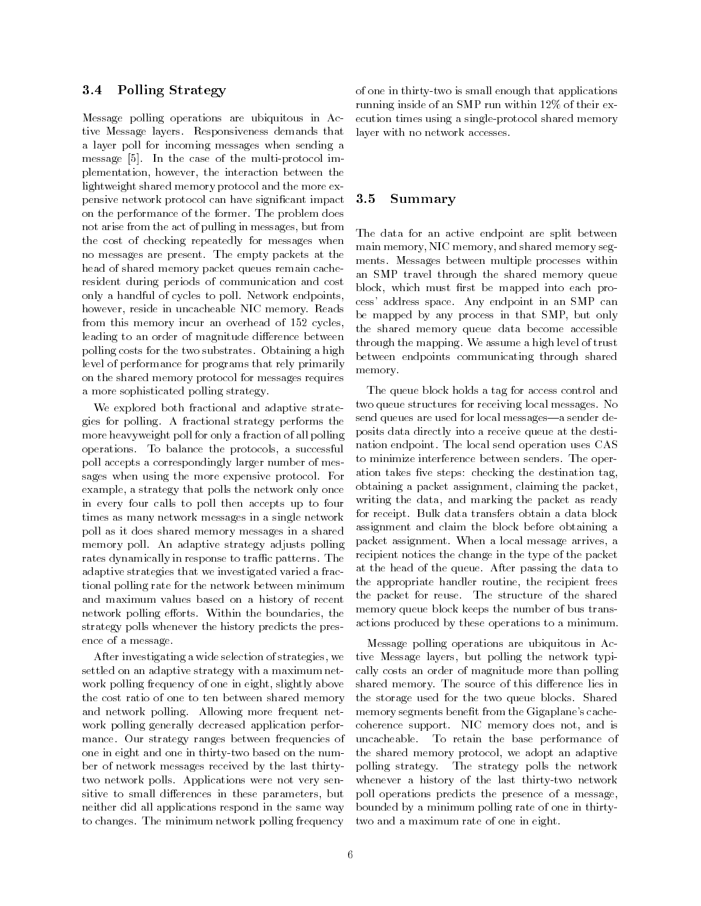#### $3.4$ Polling Strategy

Message polling operations are ubiquitous in Ac tive Message layers. Responsiveness demands that a layer poll for incoming messages when sending a message in the case of the multiple multiple multiple multiple multiple multiple multiple multiple multiple mu plementation-between the interaction-between the interaction-between the interaction-between the interaction-b lightweight shared memory protocol and the more ex pensive network protocol can have signicant impact on the performance of the former. The problem does not arise from the act of pulling in messages, which messagesthe cost of checking repeatedly for messages when no messages are present. The empty packets at the head of shared memory packet queues remain cache resident during periods of communication and cost only a handful of cycles to poll. Network endpoints, however-beneficial in uncare in uncare in uncare in uncare in uncare in uncare in uncare in uncare in uncare i from this memory incur an overhead of  $152$  cycles, leading to an order of magnitude difference between polling costs for the two substrates Obtaining a high level of performance for programs that rely primarily on the shared memory protocol for messages requires a more sophisticated polling strategy

We explored both fractional and adaptive strate gies for polling. A fractional strategy performs the more heavyweight poll for only a fraction of all polling operations To annual the protocols-water and poll accepts a correspondingly larger number of mes sages when using the more expensive protocol For example-by-contract the network only only only only only only one of the network only only one of the network o in every four calls to poll then accepts up to four times as many network messages in a single network poll as it does shared memory messages in a shared memory poll. An adaptive strategy adjusts polling rates dynamically in response to traffic patterns. The adaptive strategies that we investigated varied a frac tional polling rate for the network between minimum and maximum values based on a history of recent network polling efforts. Within the boundaries, the strategy polls whenever the history predicts the pres ence of a message

After investigating a wide selection of strategies- we settled on an adaptive strategy with a maximum net work politically above in eight-distribution in eight-distribution in eight-distribution in eight-distribution of the slightly above in eightthe cost ratio of one to ten between shared memory and network polling. Allowing more frequent network polling generally decreased application perfor mance. Our strategy ranges between frequencies of uncacheable. one in eight and one in this case on the number of the number of the number on the number of the number of the number of the number of the number of the number of the number of the number of the number of the number of th ber of network messages received by the last thirty two network polls. Applications were not very sensitive to security different contracts in the parameters in the parameters of  $\mathcal{L}_{\mathcal{B}}$ neither did all applications respond in the same way to changes The minimum network polling frequency

 ecution times using a single protocol shared memory the two interests that appearing the applications of productions of the state of the state of the state of the running inside of an SMP run within  $12\%$  of their exlayer with no network accesses

#### $3.5$ Summary

 an SMP travel through the shared memory queue cess' address space. Any endpoint in an SMP can the shared memory queue data become accessible The data for an active endpoint are split between main memory- NIC memory- and shared memory seg ments. Messages between multiple processes within block-the must research into the mapped into each control product be mapped by any process in the small control of the SMP-second by any process in the SMP-second by any process through the mapping. We assume a high level of trust between endpoints communicating through shared memory

The queue block holds a tag for access control and two queue structures for receiving local messages. No send queues are used for local messagesa sender de posits data directly into a receive queue at the desti nation endpoint. The local send operation uses CAS to minimize interference between senders The oper ation takes ve steps checking the destination tagobtaining a packet assignment- claiming the packetwriting the data- and marking the packet as ready for receipt. Bulk data transfers obtain a data block assignment and claim the block before obtaining a packet assignment When a local message arrives- a recipient notices the change in the type of the packet at the head of the queue After passing the data to the appropriate handler routine- the recipient frees the packet for reuse. The structure of the shared memory queue block keeps the number of bus trans actions produced by these operations to a minimum to

 cally costs an order of magnitude more than polling memory segments benet from the Gigaplanes cache coherence support NIC memory does not- and is the shared memory protocol-based memory protocol polling strategy The strategy polls the network whenever a history of the last thirty cut help when Message polling operations are ubiquitous in Ac tive interesting the network of the network the network typical the network typical typical the network typical t shared memory. The source of this difference lies in the storage used for the two queue blocks Shared To retain the base performance of poll operations predicts the presence of a message, bounded by a minimum polling rate of one in thirty two and a maximum rate of one in eight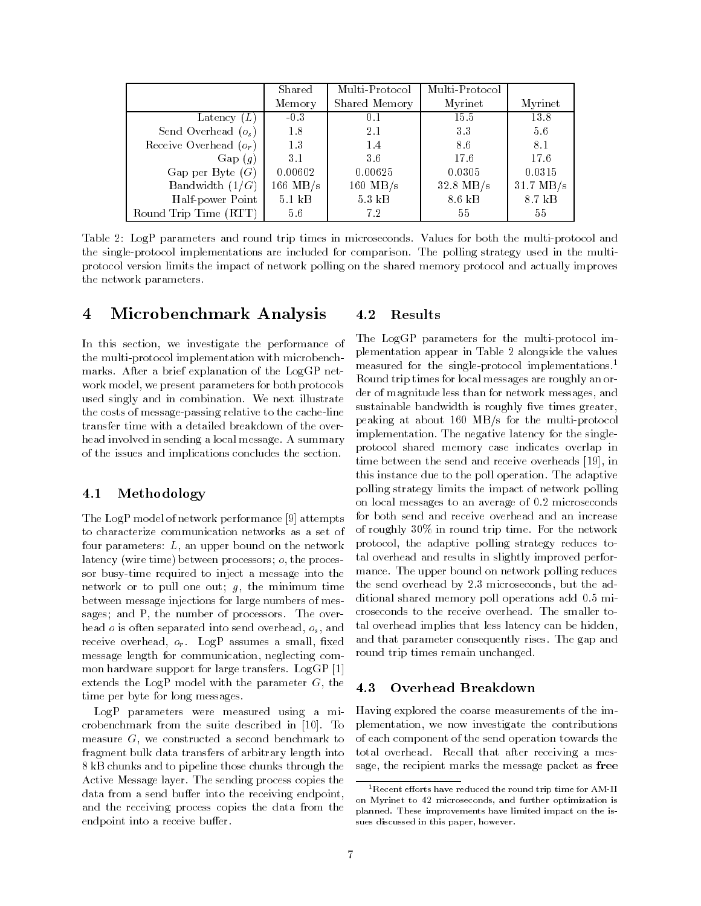|                          | Shared             | Multi-Protocol   | Multi-Protocol     |                     |
|--------------------------|--------------------|------------------|--------------------|---------------------|
|                          | Memory             | Shared Memory    | Myrinet            | Myrinet             |
| Latency $(L)$            | $-0.3$             | 0.1              | 15.5               | 13.8                |
| Send Overhead $(o_s)$    | 1.8                | 2.1              | 33                 | 5.6                 |
| Receive Overhead $(o_r)$ | 1.3                | 1.4              | 8.6                | 8.1                 |
| Gap(g)                   | 3.1                | 3.6              | 17.6               | 17.6                |
| Gap per Byte $(G)$       | 0.00602            | 0.00625          | 0.0305             | 0.0315              |
| Bandwidth $(1/G)$        | $166 \text{ MB/s}$ | $160$ MB/s       | $32.8$ MB/s        | $31.7 \text{ MB/s}$ |
| Half-power Point         | $5.1$ kB           | $5.3 \text{ kB}$ | $8.6\;\mathrm{kB}$ | 8.7 kB              |
| Round Trip Time (RTT)    | 5.6                | 7.2              | 55                 | 55.                 |

Table LogP parameters and round trip times in microseconds Values for both the multi protocol and the single protocol implementations are included for comparison The polling strategy used in the multi protocol version limits the impact of network polling on the shared memory protocol and actually improves the network parameters

#### $\bf{4}$ Microbenchmark Analysis

 $\blacksquare$  we investigate the performance of  $\blacksquare$ the multi protocol implementation with microbench marks After a brief explanation of the LogGP net work model-both parameters for both protocols with protocols and protocols and protocols and protocols are all used singly and in combination. We next illustrate the costs of message passing relative to the cache line transfer time with a detailed breakdown of the over head involved in sending a local message. A summary of the issues and implications concludes the section

#### $4.1$ Methodology

The LogP model of network performance  $[9]$  attempts to characterize communication networks as a set of rour parameters by an upper bound on the network latency wire time between processors o- the proces sor busy time required to inject a message into the network of to pull one out, y, the minimum time between message injections for large numbers of mes sages and P- the number of processors The over head <sup>o</sup> is often separated into send overhead- os- and receive overhead, spilled assumes a small med message length for communication- neglecting com mon hardware support for large transfers. LogGP [1] extends the Logi model with the parameter G, the  $\rightarrow$ time per byte for long messages

LogP parameters were measured using a mi crobenchmark from the suite described in [10]. To measure G- we constructed a second benchmark to fragment bulk data transfers of arbitrary length into 8 kB chunks and to pipeline those chunks through the Active Message layer. The sending process copies the data from a send buffer into the receiving endpoint, and the receiving process copies the data from the endpoint into a receive buffer.

#### Results 4.2

 measured for the single protocol implementations Round trip times for local messages are roughly an or implementation The negative latency for the single The LogGP parameters for the multi protocol im plementation appear in Table 2 alongside the values der of magnitude less than for network messages- and sustainable bandwidth is roughly five times greater. peaking at about MBs for the multi protocol protocol shared memory case indicates overlap in time between the send and receive over the send and receive  $\mathbf{r}$ this instance due to the poll operation. The adaptive polling strategy limits the impact of network polling on local messages to an average of 0.2 microseconds for both send and receive overhead and an increase of roughly  $30\%$  in round trip time. For the network protocol- the adaptive polling strategy reduces to tal overhead and results in slightly improved perfor mance. The upper bound on network polling reduces the send over head by  $\mathcal{L}_{\mathcal{D}}$  , we have the additional by  $\mathcal{D}_{\mathcal{D}}$  , we have the additional by  $\mathcal{D}_{\mathcal{D}}$ ditional shared memory poll operations add 0.5 microseconds to the receive overhead The smaller to tal overhead implies that less latency can be hiddenand that parameter consequently rises The gap and round trip times remain unchanged

### Overhead Breakdown

 $\Theta$  explored the coarse measurements of the impact of the impact of the impact of the impact of the impact of the impact of the impact of the impact of the impact of the impact of the impact of the impact of the impact o plementation-beneficial contribution-the contribution-the contribution-the contributions of the contributions of the contributions of the contributions of the contributions of the contributions of the contributions of the of each component of the send operation towards the total overhead. Recall that after receiving a message- the recipient marks the message packet as free

on Myrinet to 42 microseconds, and further optimization is + Kecent efforts have reduced the round trip time for AMI-11 planned. These improvements have limited impact on the issues discussed in this paper, however.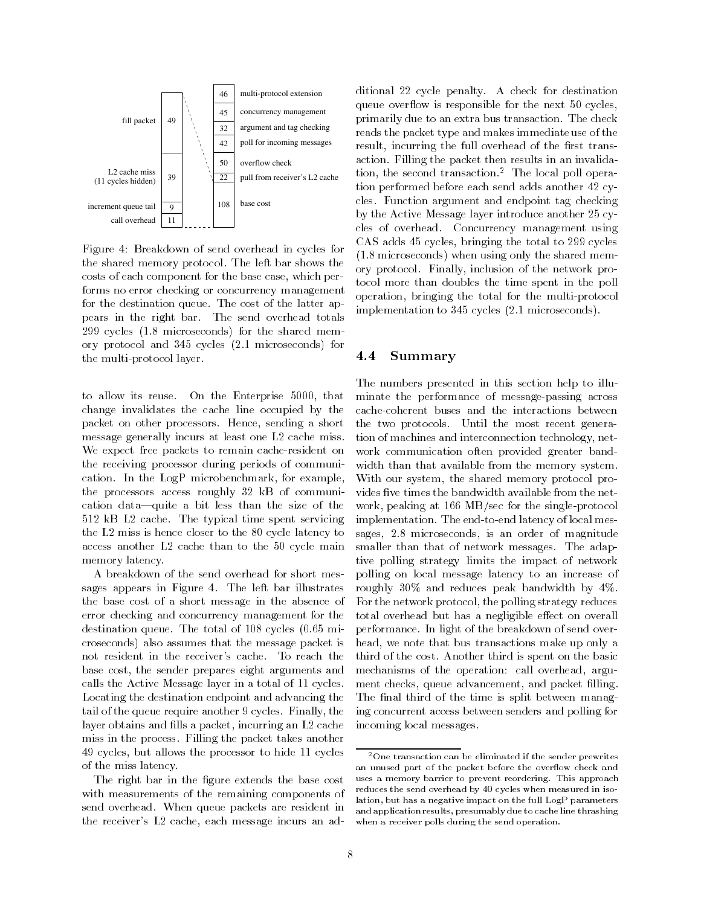

Figure 
 Breakdown of send overhead in cycles for the shared memory protocol. The left bar shows the costs of each component for the base case- which per forms no error checking or concurrency management for the destination queue. The cost of the latter appears in the right bar. The send overhead totals  $299$  cycles  $(1.8 \text{ microseconds})$  for the shared memory protocol and  $345$  cycles  $(2.1 \text{ microseconds})$  for the multi protocol layer

to allow its reuse On the Enterprise - that is related to the Enterprise - that is related to the Enterprise change invalidates the cache line occupied by the packet on other processors Hence- sending a short message generally incurs at least one  $L2$  cache miss. We expect free packets to remain cache resident on the receiving processor during periods of communi cation in the Logican Contract in the Logican Contract  $\mathbb{R}^n$ the processors access roughly  $32$  kB of communication data-quite a bit less than the size of the 512 kB L2 cache. The typical time spent servicing the  $L2$  miss is hence closer to the  $80$  cycle latency to access another  $L2$  cache than to the 50 cycle main memory latency

A breakdown of the send overhead for short mes sages appears in Figure 4. The left bar illustrates the base cost of a short message in the absence of error checking and concurrency management for the destination queue. The total of  $108$  cycles  $(0.65$  microseconds) also assumes that the message packet is not resident in the receiver's cache. To reach the base cost- the sender prepares eight arguments and calls the Active Message layer in a total of 11 cycles. Locating the destination endpoint and advancing the tail of the queue require and the queue require and the queue require and the queue require and the cycles Finallylayer obtains and lls a packet- incurring an L cache miss in the process Filling the packet takes another cycles-but allows the processor to hide to hide the processor to hide the processor to hide cycles and the processor to hide of the processor of the processor of the processor of the processor of the processor of the proce of the miss latency

The right bar in the figure extends the base cost with measurements of the remaining components of send overhead. When queue packets are resident in the receivers are children children and additional message in

 tocol more than doubles the time spent in the poll implementation to 345 cycles (2.1 microseconds). ditional 22 cycle penalty. A check for destination queue overflow is responsible for the next  $50$  cycles, primarily due to an extra bus transaction The check reads the packet type and makes immediate use of the result-the full overhead of the full overhead of the full overhead of the rst transformation of the rst transformation of the rst transformation of the result of the rst transformation of the result of the rst transformati action Filling the packet then results in an invalida tion- the second transaction- The local poll opera tion performed before each send adds another 42 cycles. Function argument and endpoint tag checking by the Active Message layer introduce another  $25$  cycles of overhead. Concurrency management using case added to the total to the total to the total to the total to the total to the total to the total to the t  $(1.8 \text{ microseconds})$  when using only the shared memory protocol Finally- inclusion of the network pro operation- bringing the total for the multi protocol

#### $4.4$ Summary

width than that available from the memory system. with our system, the shared meding, protocol provides in the bilities three bandwidth available from the network polling on local message latency to an increase of performance In light of the breakdown of send over The numbers presented in this section help to illu minate the performance of message passing across the two protocols. Until the most recent generation of machines and interconnection technology- net work communication often provided greater band work-between the single-between the single-between the single-between the single-between the single-between the single-between the single-between the single-between the single-between the single-between the single-between implementation The end latency of local meson that the end latency of local meson in the end of local meson in sages-distribution is an order of magnitude of magnitude of magnitude of magnitude of magnitude of magnitude o smaller than that of network messages. The adaptive polling strategy limits the impact of network roughly  $30\%$  and reduces peak bandwidth by  $4\%$ . For the network protocol- the polling strategy reduces total overhead but has a negligible effect on overall head- we note that bus transactions make up only a third of the cost. Another third is spent on the basic mechanisms of the operation call overhead- argu ment checks- queue advancement- and packet lling The final third of the time is split between managing concurrent access between senders and polling for incoming local messages

when a receiver polis during the send operation. -One transaction can be eliminated if the sender prewrites an unused part of the packet before the overflow check and uses a memory barrier to prevent reordering. This approach reduces the send overhead by 40 cycles when measured in isolation, but has a negative impact on the full LogP parameters and application results, presumably due to cache line thrashing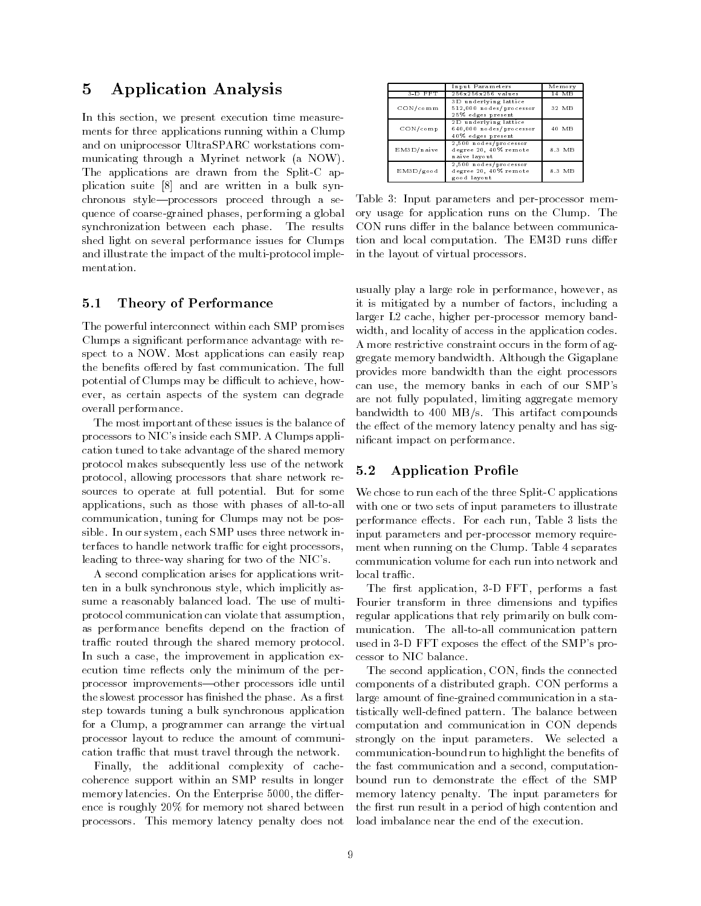#### $\bf{5}$ Application Analysis

In this section-we present execution-we present execution-we present execution-we present execution time measurement ments for three applications running within a Clump and on uniprocessor UltraSPARC workstations com municating through a Myrinet network (a NOW). The application are drawn from the Split and the Split  $\alpha$ plication suite  $[8]$  and are written in a bulk synchronous style-processors proceed through a sequence of coarses grained phases-in phases-independent synchronization between each phase. The results shed light on several performance issues for Clumps and interesting the implementation of the multiple the multiple multiple of the multiple multiple multiple multiple mentation

#### 5.1 Theory of Performance

The powerful interconnect within each SMP promises Clumps a signicant performance advantage with re spect to a NOW. Most applications can easily reap the benefits offered by fast communication. The full potential of Clumps may be dimensioned to achieveever, as certain aspects of the system can degrade  $\alpha$ overall performance

The most important of these issues is the balance of processors to NIC's inside each SMP. A Clumps application tuned to take advantage of the shared memory protocol makes subsequently less use of the network protocol- allowing processors that share network re sources to operate at full potential. But for some applications-between the control of all to all to all the such as those with phases of all the such as those with phases of all the such as the such as the such as the such as the such as the such as the such as the such a communication-be possible for Clumps may not be possible for Clumps may not be possible for Clumps may not be p sible In our system-beam of the International Company of the International Company of the International Company terfaces to handle network traffic for eight processors, leading to three way sharing for two of the NICs

A second complication arises for applications writ ten in a bulk synchronous style-, which implicitly as sume a reasonably balanced load. The use of multiprotocol communication can violate that assumptionas performance benefits depend on the fraction of traffic routed through the shared memory protocol. In such a case-improvement in application experience in application experience in application experience in application experience in a case-improvement in application experience in a case-improvement in application experi ecution time reflects only the minimum of the perprocessor improvements—other processors idle until the slowest processor has finished the phase. As a first step towards tuning a bulk synchronous application for a Clump- a programmer can arrange the virtual processor layout to reduce the amount of communi cation traffic that must travel through the network.

Finally- the additional complexity of cache coherence support within an SMP results in longer memory latencies On the Enterprise - the dier ence is roughly 20% for memory not shared between processors This memory latency penalty does not

|             | Input Parameters                                                      | Memory |
|-------------|-----------------------------------------------------------------------|--------|
| $3-D$ $FFT$ | 256x256x256 values                                                    | 14 MB  |
| CON/com m   | 3D underlying lattice<br>512.000 nodes/processor<br>25% edges present | 32 MB  |
| CON/com p   | 2D underlying lattice<br>640,000 nodes/processor<br>40% edges present | 40 MB  |
| EM3D/naive  | 2,500 nodes/processor<br>degree 20, 40% remote<br>naive layout        | 8.3 MB |
| EM3D/good   | 2,500 nodes/processor<br>degree 20, 40% remote<br>good layout         | 8.3 MB |

in the layout of virtual processors and a second processors of virtual processors and a second processors of v Table Input parameters and per processor mem ory usage for application runs on the Clump. The CON runs differ in the balance between communication and local computation. The EM3D runs differ

 A more restrictive constraint occurs in the form of ag can use, the memory banks in each of our SMP s nicant impact on performance usually play a large role in performance, never ever performance it is mitigated byanumber of factors- including a larger L cache-L cache-L cache-L cache-L cache-L cache-L cache-L cache-L cache-L cache-L cache-L cache-L cachewith-distribution control in the access in the application codes in the application codes in the application co gregate memory bandwidth Although the Gigaplane provides more bandwidth than the eight processors are not fully populated aggregate memory and aggregate memory aggregate memory aggregate memory aggregate memory bandwidth to  $400$  MB/s. This artifact compounds the effect of the memory latency penalty and has sig-

#### 5.2 Application Profile

performance enceas. For each run, rubic o maas and input parameters and per processor memory require ment when running on the Crump. Table I separates local traffic. We chose to run each of the three Splits and the three Splits and the three Splits and the three Splits and the three Splits and the three Splits and the three Splits and the three Splits and the three Splits and three Spl with one or two sets of input parameters to illustrate communication volume for each run into network and

 Fourier transform in three dimensions and typies regular applications that rely primarily on bulk com cessor to rire sammed. performance and performances are performed a fast and performance and performance and performance and performance munication The all communications patterns used in the state of the SMPs provided in the SMPs provided in the SMPs provided in the SMPs provided in the S

 strongly on the input parameters We selected a the fast communication and a second- computation memory latency penalty The input parameters for - no second application- second application- second second second components of a distributed graph. CON performs a large amount of ne grained communication in a sta tistically well dened pattern The balance between computation and communication in CON depends communication bound run to highlight the benets of bound run to demonstrate the effect of the SMP the first run result in a period of high contention and load imbalance near the end of the execution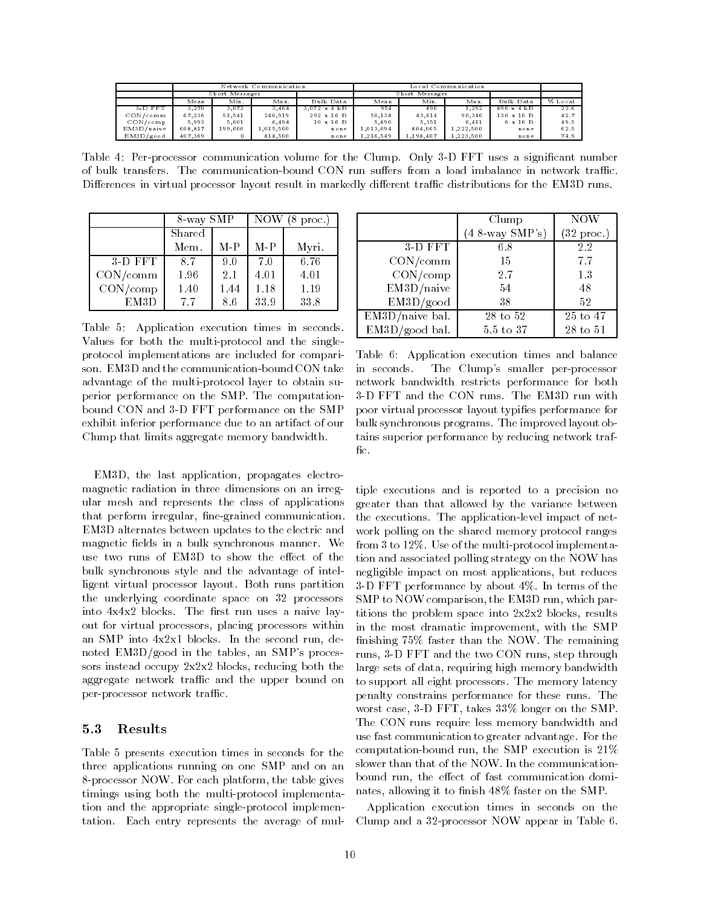|                          | Network Communication |         |           | Local Communication |           |           |           |            |         |
|--------------------------|-----------------------|---------|-----------|---------------------|-----------|-----------|-----------|------------|---------|
|                          | Short Messages        |         |           | Short Messages      |           |           |           |            |         |
|                          | Mean                  | Min.    | Max.      | Bulk Data           | Mean      | Min.      | Max.      | Bulk Data  | % Local |
| $3-D$ $FFT$              | 3.270                 | 3.072   | 3.468     | $3.072 \times 4$ kB | 954       | 896       | 1.292     | 896 x 4 kB | 22.6    |
| CON/comm                 | 67.236                | 51.541  | 240.919   | 292 x 16 B          | 50.138    | 43.614    | 90.346    | 130 x 16 B | 42.7    |
| $\text{CON}/\text{comp}$ | 5.993                 | 5.601   | 6.498     | $10 \times 16$ B    | 5.890     | 5.351     | 6.411     | 6 x 16 B   | 49.5    |
| EM3D/naive               | 608.817               | 199.600 | 1.015.500 | none                | 1.013.094 | 804.065   | 1.222.500 | none       | 62.5    |
| EM3D/good                | 407.369               |         | 818.500   | none                | .216.549  | 1.198.407 | 1.223.500 | none       | 74.9    |

Table 
 Per processor communication volume for the Clump Only D FFT uses a signicant number Differences in virtual processor layout result in markedly different traffic distributions for the EM3D runs.

|           | 8-way SMP |       | NOW<br>$8$ proc.) |       |
|-----------|-----------|-------|-------------------|-------|
|           | Shared    |       |                   |       |
|           | Mem.      | $M-P$ | $M-P$             | Myri. |
| $3-D$ FFT | 87        | 9.0   | 7.0               | 6.76  |
| CON/comm  | 1.96      | 2.1   | 4.01              | 4.01  |
| CON/comp  | 1.40      | 1.44  | 1.18              | 1.19  |
| EM3D      | 7.7       | 8.6   | 33.9              | 33.8  |

Table 5: Application execution times in seconds. Values for both the multi protocol and the single protocol implementations are included for compari advantage of the multi protocol layer to obtain su perior performance on the SMP. The computationbound Construction Construction and D FTT performance on the SMP performance on the SMP performance on the SMP exhibit inferior performance due to an artifact of our Clump that limits aggregate memory bandwidth

EMD- the last application- propagates electro magnetic radiation in three dimensions on an irreg ular mesh and represents the class of applications that perform irregular- ne grained communication EMD alternates between updates to the electric and magnetic fields in a bulk synchronous manner. We use two runs of EM3D to show the effect of the bulk synchronous style and the advantage of intel ligent virtual processor layout. Both runs partition the underlying coordinate space on  $32$  processors into  $4x4x2$  blocks. The first run uses a naive layout for virtual processors- placing processors- processors- processors- processors- placing processors with the and  $\alpha$  into  $\alpha$  blocks in the second run-line second run-line second run-line second run-line second run-line second runnoted EMD good in the tables-tablessors instead occupy xx blocks- reducing both the aggregate network traffic and the upper bound on per processor network trac

#### 5.3 Results

Table 5 presents execution times in seconds for the three applications running on one SMP and on an v processor and the table gives platform-the table gives the table gives timings using both the multi protocol implementa tion and the appropriate single protocol implemen tation. Each entry represents the average of mul-

|                   | Clump             | <b>NOW</b>           |  |
|-------------------|-------------------|----------------------|--|
|                   | $(4 8-way SMP's)$ | $(32 \text{ proc.})$ |  |
| $3-D$ $FFT$       | 6.8               | 2.2                  |  |
| CON/comm          | 15                | 7.7                  |  |
| CON/comp          | 2.7               | 1.3                  |  |
| EM3D/naive        | 54                | 48                   |  |
| EM3D/good         | 38                | 52                   |  |
| $EM3D/naive$ bal. | 28 to 52          | 25 to 47             |  |
| $EM3D/good$ bal.  | 5.5 to 37         | 28 to 51             |  |

Table Application times and balance and balance and balance and balance and balance and balance and balance a in seconds The Clumps smaller per processor network bandwidth restricts performance for both restricts performance for both restricts performance for both poor virtual processor layout typifies performance for bulk synchronous programs. The improved layout obtains superior performance by reducing network traf  $f_{\rm LC}$ .

 tiple executions and is reported to a precision no negligible impact on most applications- but reduces throms the problem space mto gagage blocks, results nishing  faster than the NOW The remaining runs, o D III and the two CON runs, step through greater than that allowed by the variance between the execution and sppectation is the application  $\mathcal{L}_{\mathcal{A}}$ work polling on the shared memory protocol ranges from to Use of the multi protocol implementa tion and associated polling strategy on the NOW has d FFT performance by about the performance by about the performance by about the performance by about the performance of the performance of the performance of the performance of the performance of the performance of the pe SMP to NOW comparison- the EMD run- which par in the most dramatic improvement-the most dramatic improvement-the SMP structure in the SMP structure in the S large sets of data- requiring high memory bandwidth to support all eight processors. The memory latency penalty constrains performance for these runs The worst case, a more by cases control case and the SMP ( The CON runs require less memory bandwidth and use fast communication to greater advantage For the computation and computation is the SMP execution is seen as the SMP execution is a set of the SMP execution is slower than that of the NOW. In the communicationbound run-fast communication dominates and fast communication dominates and fast communication dominates and f nates-senates-senates-senates-senates-senates-senates-senates-senates-senates-senates-senates-senates-senates-

clump and a construction of the process and construction Application execution times in seconds on the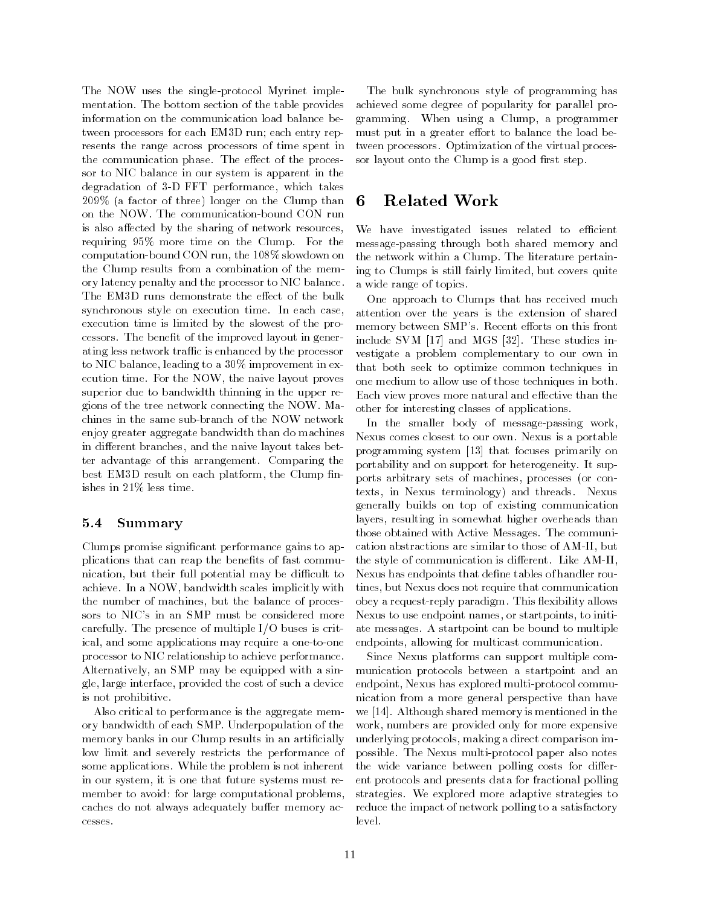protocol Myrine implemented in the single implementation of the single single single in the single single single single single single single single single single single single single single single single single single sing mentation The bottom section of the table provides information on the communication load balance be tween processors for each EM3D run; each entry represents the range across processors of time spent in the communication phase. The effect of the processor to NIC balance in our system is apparent in the degradation of the contract performance-the-contract performance-the-contract performance-the-contract performance- $209\%$  (a factor of three) longer on the Clump than 6 is also affected by the sharing of network resources, requiring  $95\%$  more time on the Clump. For the computation computed boundary and control control to the slow the Clump results from a combination of the mem ory latency penalty and the processor to NIC balance The EM3D runs demonstrate the effect of the bulk synchronous style on execution time. In each case, execution time is limited by the slowest of the pro cessors. The benefit of the improved layout in generating less network traffic is enhanced by the processor to nicolate the nicolate and the nicolate three provements in experiment in experiment in experiment in experiment in experiment in experiment in experiment in experiment in experiment in experiment in experiment in experi ecution time For the NOW-Line time For the NOW-Line time  $\mathbf{F}$ superior due to bandwidth thinning in the upper re gions of the tree network connecting the NOW Ma enjoy greater aggregate bandwidth than do machines in dieres the naive layout take between the naive layout takes between ter advantage of this arrangement. Comparing the best Employment on the Clump platform and controlled the Clump of the Clump of the Clump of the Clump of the C ishes in  $21\%$  less time.

#### 5.4 Summary

Clumps promise signicant performance gains to ap plications that can reap the benefits of fast communication- but their full potential may be dicult to achieve In a Now-Line in a Now-Line scale in a Now-Line implicitly with scales in the United States in the United States in the United States in the United States in the United States in the United States in the United Sta the purchase of the balance of processes and processes of processes and processes and processes and processes sors to NIC's in an SMP must be considered more carefully. The presence of multiple  $I/O$  buses is critical- and some applications may require a one to one processor to NIC relationship to achieve performance Alternatively- an SMP may be equipped with a sin gle-interface-set of such a device of such a device of such a device of such a device of such a device of such is not prohibitive

Also critical to performance is the aggregate mem ory bandwidth of each SMP Underpopulation of the memory banks in our Clump results in an artificially low limit and severely restricts the performance of some applications While the problem is not inherent in our system- it is one that future systems must re member to avoid: for large computational problems, caches do not always adequately buffer memory accesses

 gramming When using a Clump- a programmer must put in a greater eort to balance the load be sor layout onto the Clump is a good rst step The bulk synchronous style of programming has achieved some degree of popularity for parallel pro tween processors. Optimization of the virtual proces-

## Related Work

we have investigated issues related to emercint ing to Clumps is still fairly limited- but covers quite message passing through both shared memory and the network within a Clump. The literature pertaina wide range of topics

 attention over the years is the extension of shared memory between SMPs Recent eorts on this front  $\frac{1}{2}$  include  $\frac{1}{2}$  v in  $\frac{1}{2}$  and most  $\frac{1}{2}$ . These studies in that both seek to optimize common techniques in Each view proves more natural and eective than the other for interesting classes of applications One approach to Clumps that has received much vestigate a problem complementary to our own in one medium to allow use of those techniques in both

 programming system that focuses primarily on ports arbitrary sets of machines, processes (or con cation abstractions are similar to those of AM II- but the style of communication is different Like AM and the style  $\mathcal{L}_\text{max}$ reply paradigm This exibity allows a request of the second paradigm to the second paradigm This exibility allows a second paradigm to the second paradigm This exibility allows a second paradigm This exibility allows a seco ate messages A startpoint can be bound to multiple In the smaller body of message passing work-Nexus comes closest to our own Nexus is a portable portability and on support for heterogeneity It sup texts- in Nexus terminology and threads Nexus generally builds on top of existing communication layers- resulting in somewhat higher overheads than those obtained with Active Messages The communi Nexus has endpoints that define tables of handler routines- but Nexus does not require that communications are communicated by the communication of the communication Nexus to use endpoint names- or startpoints- to initi endpoints-beneficial for multicast communications-beneficial for multicast communications-beneficial for multicast communications-

Since Nexus platforms can support multiple com munication protocols between a startpoint and an endpoint-box has explored multiple multiple multiple multiple multiple multiple multiple multiple multiple multiple nication from a more general perspective than have we have a shared memory is media to the shared memory is media to the shared in the shared in the shared in the work-bers are provided only for more expensive are provided only for more expensive are provided only for more expensive and the provided only for more expensive and the provided only for more expensive and the provided on underlying protocols-between interventions and the comparison intervention in the comparison in the comparison in possible The Nexus multi protocol paper also notes the wide variance between polling costs for differ ent protocols and presents data for fractional polling strategies We explored more adaptive strategies to reduce the impact of network polling to a satisfactory level.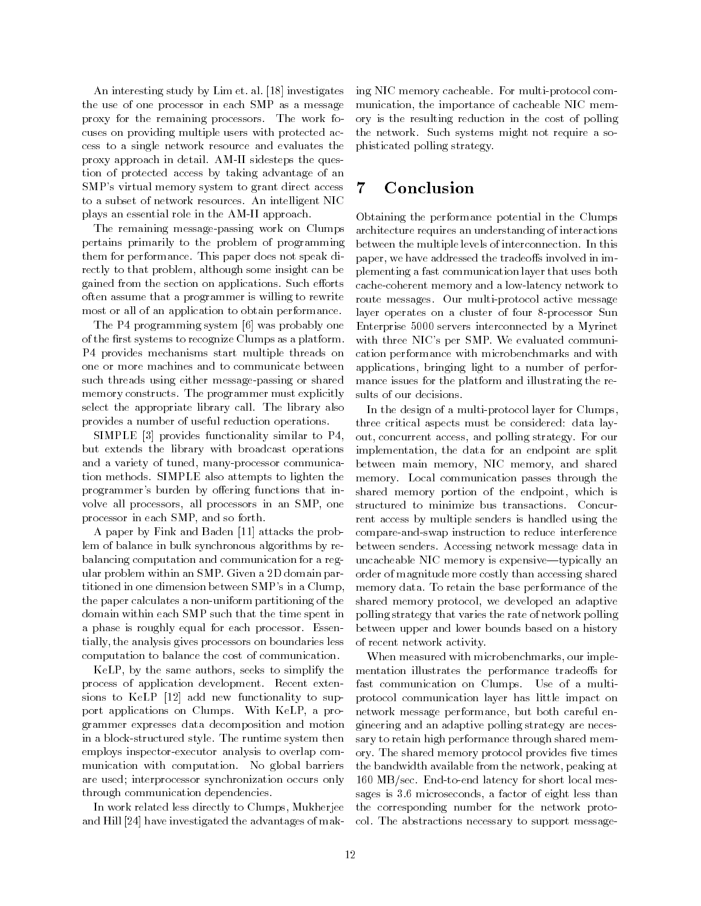An interesting study by  $Lim$  et. al. [18] investigates the use of one processor in each SMP as a message proxy for the remaining processors. The work focuses on providing multiple users with protected ac cess to a single network resource and evaluates the proxy approach in detail AM II sidesteps the ques tion of protected access by taking advantage of an SMP's virtual memory system to grant direct access  $\phantom{1}7$ to a subset of network resources An intelligent NIC plays and the continues and the amount of the AMP plants and the AMP plants of the AMP of the AMP of the AMP of

The remaining message passing work on Clumps pertains primarily to the problem of programming them for performance. This paper does not speak directly to that problems in although some insight can be a gained from the section on applications. Such efforts often assume that a programmer is willing to rewrite most or all of an application to obtain performance

The P4 programming system [6] was probably one of the first systems to recognize Clumps as a platform. P
 provides mechanisms start multiple threads on one or more machines and to communicate between such threads using either message passing or shared memory constructs. The programmer must explicitly select the appropriate library call. The library also provides a number of useful reduction operations

SIMPLE  $[3]$  provides functionality similar to P4. but extends the library with broadcast operations and a variety of tuned- many processor communica tion methods SIMPLE also attempts to lighten the programmer's burden by offering functions that involve all processors all processors in an all processors in an SMPprocessor in each society where  $\sim$  for the society

A paper by Fink and Baden [11] attacks the problem of balance in bulk synchronous algorithms by re balancing computation and communication for a reg ular problem within an SMP. Given a 2D domain partitioned in one dimension between  $\text{SMP's in a Clump}$ . the paper calculates a non uniform partitioning of the domain within each SMP such that the time spent in a phase is roughly equal for each processor. Essentially- the analysis gives processors on boundaries less computation to balance the cost of communication

KeLP- by the same authors- seeks to simplify the process of application development. Recent extensions to KeLP  $[12]$  add new functionality to support applications on Clumps With KeLP- a pro grammer expresses data decomposition and motion in a block structured style The runtime system then employs inspector executor analysis to overlap com munication with computation No global barriers are used; interprocessor synchronization occurs only through communication dependencies

In work related less directly to Clumps- Mukherjee and Hill [24] have investigated the advantages of mak-

 ory is the resulting reduction in the cost of polling the network Such systems might not require a so ing NIC memory cacheable For multi protocol com munication- the importance of cacheable NIC mem phisticated polling strategy

# Conclusion

 paper- we have addressed the tradeos involved in im Obtaining the performance potential in the Clumps architecture requires an understanding of interactions between the multiple levels of interconnection. In this plementing a fast communication layer that uses both coherent memory and a lower memory and a lower to the coherent memory and a lower to the coherent memory and a route messages Our multi protocol active message layer operates on a cluster of four processor Sun Enterprise 5000 servers interconnected by a Myrinet with three NIC's per SMP. We evaluated communication performance with microbenchmarks and with applications- bringing light to a number of perfor mance issues for the platform and illustrating the re sults of our decisions

 out- concurrent access- and polling strategy For our between main memory- NIC memory- and shared shared memory portion or the endpoint, which is compare and swap most accreme to reduce mitched theory between senders Accessing network message data in uncacheable is including to chpensive sypremissions. order of magnitude more costly than accessing shared memory data To retain the base performance of the between upper and lower bounds based on a history In the design of a multi protocol layer for Clumpsthree critical aspects must be considered: data layimplementation- the data for an endpoint are split memory. Local communication passes through the structured to minimize bus transactions. Concurrent access by multiple senders is handled using the shared memory protocol- we developed an adaptive polling strategy that varies the rate of network polling of recent network activity

 fast communication on Clumps Use of a multi protocol communication layer has little impact on network message performance- but both careful en ory The shared memory protocol provides ve times col The abstractions necessary to support message when measured with microbenchmarks-controlled with microbenchmarks-controlled with microbenchmarks-controlled w mentation illustrates the performance tradeoffs for gineering and an adaptive polling strategy are neces sary to retain high performance through shared mem the bandwidth available from the network-the network-peaking at end and the short local message is the short local message of the short local message is a short of the short anges is the interesting of eight less than that the complete  $\sim$ the corresponding number for the network proto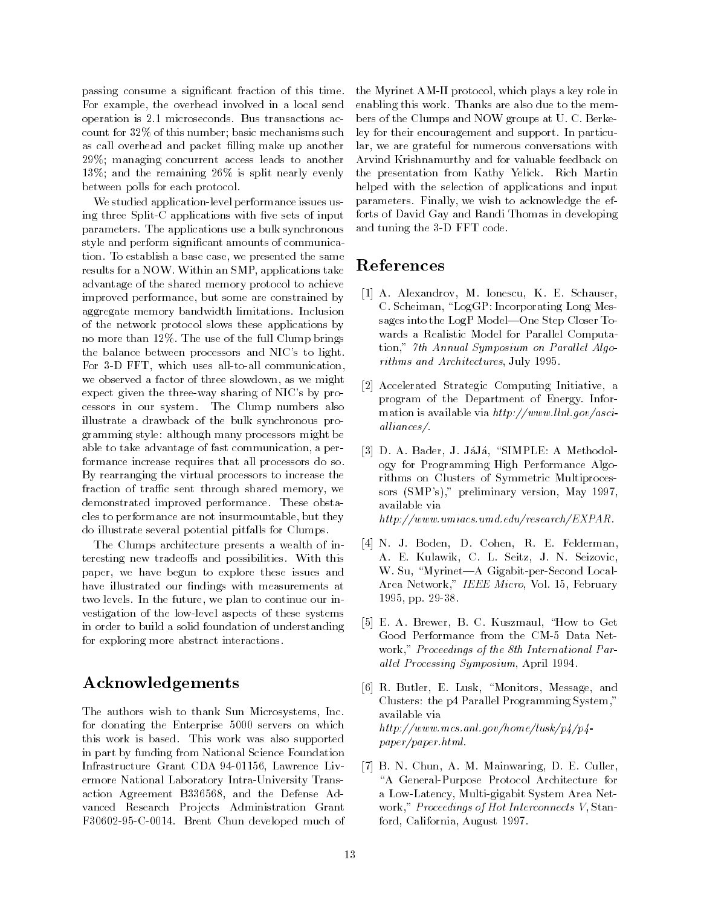passing consume a signicant fraction of this time For example- the overhead involved in a local send operation is  $2.1$  microseconds. Bus transactions account for  $32\%$  of this number; basic mechanisms such as call overhead and packet filling make up another  $29\%$ ; managing concurrent access leads to another 13%; and the remaining  $26\%$  is split nearly evenly between polls for each protocol

we studied application is substituted application in the studies of the studies of the studies of the studies of the ing three Spire Special processes with the sets of input  $\mathbf{r}$ parameters The applications use a bulk synchronous style and perform signicant amounts of communica tion To establish a base case- we presented the same results for a NOW Within an SMP-C-state for an SMP-C-state for an SMP-C-state for an SMP-C-state for an SMP-Cadvantage of the shared memory protocol to achieve improved performance- but some are constrained by aggregate memory bandwidth limitations Inclusion of the network protocol slows these applications by no more than 12%. The use of the full Clump brings the balance between processors and NIC's to light. For D FFT- which uses all to all communicationwe observe a factor of three slowds and the slow of three slow expect given the three way sharing to the same way pro cessors in our system The Clump numbers also illustrate a drawback of the bulk synchronous pro gramming style: although many processors might be able to take an ourcesting of fast communication-theory of political formance increase requires that all processors do so By rearranging the virtual processors to increase the fraction of trac sent through shared memory- we demonstrated improved performance. These obstacles to performance are not insurmountable-to-performance are not insurmountabledo illustrate several potential pitfalls for Clumps

The Clumps architecture presents a wealth of in teresting new tradeoffs and possibilities. With this paper- we have begun to explore these issues and have illustrated our findings with measurements at two levels In the future-in-continue our interest in the future-in-continue our in-continue our in-continue our vestigation of the low-level aspects of the low-level aspects of the low-level aspects of the low-level aspects in order to build a solid foundation of understanding for exploring more abstract interactions

### Acknowledgements

 $T$  authors wish to thank  $S$  to thank  $S$  to thank  $S$ for donating the Enterprise 5000 servers on which this work is based This work was also supported in part by funding from National Science Foundation Infrastructure Grant CDA - Lawrence Liv ermore National Laboratory Intra University Trans action agreement because, which the definition vanced Research Projects Administration Grant F C Brent Chun developed much of

 bers of the Clumps and NOW groups at U C Berke  $\mathbf{F}$  , we wish to acknowledge the effect the effect the effect the effect the effect the effect the effect the effect of  $\mathbf{F}$ the Myrinet Court as protocol, which plays a key role in enabling this work Thanks are also due to the mem ley for their encouragement and support. In particular- we are grateful for numerous conversations with Arvind Krishnamurthy and for valuable feedback on the presentation from Kathy Yelick Rich Martin helped with the selection of applications and input forts of David Gay and Randi Thomas in developing and the code of  $\mathcal{L}$  and  $\mathcal{L}$  and  $\mathcal{L}$  code  $\mathcal{L}$ 

### References

- A Alexandrov- M Ionescu- K E Schauser-C Scheiman- LogGP Incorporating Long Mes sages into the LogP Model-One Step Closer Towards a Realistic Model for Parallel Computa tion-benefits and the Annual Symposium on Paral lel Algoes and Paral lel Algoes and Paral lel Algoes and Paral rithms and Architectures-Architectures-Architectures-Architectures-Architectures-
- $\mathcal{A}$  and  $\mathcal{A}$  are an initiative-dimensional initiative-definition  $\mathcal{A}$ program of the Department of Energy Infor mation is available via  $http://www.llnl.gov/asci$ al liances
- D A Bader-January 1989, Indian Methodology and the state of the state of the state of the state of the state o ogy for Programming High Performance Algo rithms on Clusters of Symmetric Multiproces sors SMPs- preliminary version- May available via  $http://www.unriacs.um.d.edu/research/EXPAR.$
- N J Boden- D Cohen- R E Felderman-A E Kulawik-Seizovic-Seizovic-Seizovic-Seizovic-Seizovic-Seizovic-Seizovic-Seizovic-Seizovic-Seizovic-Seizovic which is a myrinetal condition of the second condition of the second condition of the second condition of the s Area Network- IEEE Micro-Professor - IEEE Micro-Professor - IEEE Micro-Professor - IEEE Micro-Professor - IEEE - pp. 200 pp. 200 pp. 200 pp. 200 pp. 200 pp. 200 pp. 200 pp. 200 pp. 200 pp. 200 pp. 200 pp. 200 pp. 200 pp.
- E A Brewer- B C Kuszmaul- How to Get work- Proceedings of the third Party and Party and Party of the th al lel Processing Segure Processing Processing Sections 2014
- R Butler- E Lusk- Monitors- Message- and Clusters the p
 Parallel Programming System available via  $http://www.mcs.~all.gov/home/lusk/p4/p4$  $paper/paper.html.$
- B N Chun- A M Mainwaring- D E Culler-A General Purpose Protocol Architecture for a mars ment and the most complete and the system of the state of the system of the system of the system of the work- Proceedings of Hotel Proceedings V-1 (200 MB) ford- California- August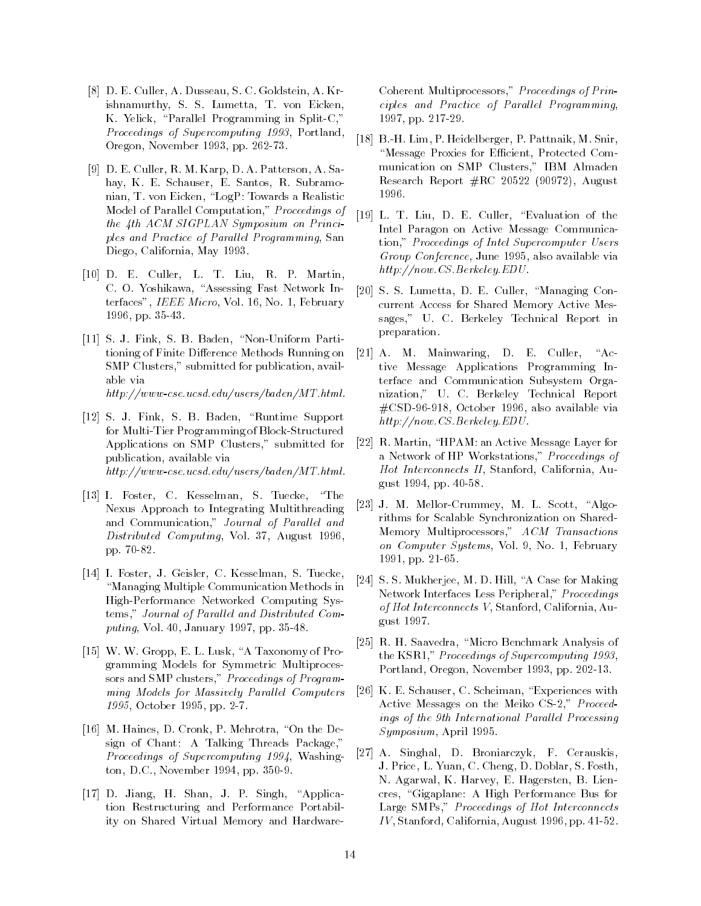- D E Culler- A Dusseau- S C Goldstein- A Kr ishnamurthy- S S Lumetta- T von Eickenest etnisch, enemische Programming in Split zu Proceedings of Supercomputing - Portland-Oregon- November - pp
- D E Culler- R M Karp- D A Patterson- A Sa hay- K E Schauser- E Santos- R Subramo nian- T von Eichen-Eiche Angeles and Eichenberg and Eichen and Eichen and Eichenberg and Eichenberg and Eiche Model of Parallel Computation- Proceedings of the  $4th$  ACM SIGPLAN Symposium on Principles and Practice of Paral lel Programming- San diego-diego-diego-diego-diego-diego-diego-diego-diego-diego-diego-diego-diego-diego-diego-diego-diego-diego-di
- d e culler-de-culler-de-culler-de-culler-de-culler-de-culler-de-culler-de-culler-de-culler-de-culler-de-culler-C O Yoshikawa- Assessing Fast Network In terfaces-in-terfaces-in-terfaces-in-terfaces-in-terfaces-in-terfaces-in-terfaces-in-terfaces-in-terfaces-in-ter - pp. 200 pp. 200 pp. 200 pp. 200 pp. 200 pp. 200 pp. 200 pp. 200 pp. 200 pp. 200 pp. 200 pp. 200 pp. 200 pp.
- S J Fink- S B Baden- Non Uniform Parti tioning of Finite Difference Methods Running on SMP Clusters- submitted for publication- avail able via  $http://www-cse.ucsd.edu/users/baden/MT.html.$
- is a baden-baden-baden-baden-baden-baden-baden-baden-baden-baden-baden-baden-baden-baden-baden-baden-baden-bad for Multi Tier Programming of Block Structured Applications on SMP Clusters- submitted for publication-blue via available via available via available via available via available via available via avail  $http://www-cse.ucsd.edu/users/baden/MT.html.$
- I Foster-Foster-Foster-Foster-Foster-Foster-Foster-Foster-Foster-Foster-Foster-Foster-Foster-Foster-Foster-Fos Nexus Approach to Integrating Multithreading and Communication-Communication-Communication-Communication-Communication-Communication-Communication-Communica Distributed Computing- Vol - August produced a product of the product of the product of the product of the product of the product of the product of the product of the product of the product of the product of the product of the product of the product of the p
- I Foster- J Geisler- C Kesselman- S Tuecke-Managing Multiple CommunicationMethods in High Performance Networked Computing Sys tems- Journal of Paral lel and Distributed Com puting-band and put in the put of the put of the put of the put of the put of the put of the put of the put of
- , a taxonomy of Property and Monday, the Monday of Property and the U.S. of Property and the U.S. of Property of Property and the U.S. of Property and the U.S. of Property and the U.S. of Property and the U.S. of Property gramming Models for Symmetric Multiproces sors and Sors and Sors and Sors and Sors and Sors and Sors and Sors and Sors and Sors and Sors and Sors and S ming Models for Massively Parallel Computers - October - pp
- M Haines- D Cronk- P Mehrotra- On the De sign of Chant: A Talking Threads Package," - Proceedings of Supercomputing of Supercomputing and the Supercomputing of Supercomputing and the Supercomputing of the Supercomputing of the Supercomputing of the Supercomputing of the Supercomputing of the Supercomputin ton-ber de la posta de la posta de la posta de la posta de la posta de la posta de la posta de la posta de la
- is a construct of the single state of the single state of the state of the state of the state of the state of tion Restructuring and Performance Portabil ity on Shared Virtual Memory and Hardware

Companies and Multiprocessors-Andreae in Prince of Prince and Prince of Prince and Prince of Prince and Prince ciples and Practice of Parallel Programming - pp 

- [18] B H. Lim, P. Heidelberger, P. Pattnaik, M. Snir, Message Proxies for Ecient- Protected Com munication on SMP Clusters- IBM Almaden avec extensive and the property of the property of the sequent of  $\mathcal{L}_\mathbf{C}$ 1996.
- L T Liu- D E Culler- Evaluation of the Intel Paragon on Active Message Communica tion-dimension-dimension-dimension-dimension-dimension-dimension-dimension-dimension-dimension-dimension-dimension-Group Conference- June - also available via  $http://now.CS.Berkeley. EDU$
- a B. D. Lumena, D. E. Cuner, Managing Concurrent Access for Shared Memory Active Mes sages-berkeley Technical Report in the second control of the second in the second in the second in the second in the second in the second in the second in the second in the second in the second in the second in the second preparation
- a Mainware and Culler-Culler-Culler-Culler-Culler-Culler-Culler-Culler-Culler-Culler-Culler-Culler-Culler-Culler-Culler-Culler-Culler-Culler-Culler-Culler-Culler-Culler-Culler-Culler-Culler-Culler-Culler-Culler-Culler-Cull  $"Ac$ tive Message Applications Programming In terface and Communication Subsystem Orga nization, under the second proportiong cost via contrare to a ment available via mente de la provincia de la contrare de la contrare de la contrare  $http://now.CS.Berkeley. EDU.$
- R Martin- HPAM an Active Message Layer for a network of HP Workstations-Allen and the Montgo of Hot Interconnects II- Stanford- California- Au gust 
- pp
- is a mellor and algorithmeyer and algorithment of the company rithms for Scalable Synchronization on Shared Memory Multiprocessors- ACM Transactions on Computer Systems-American Systems-American Systems-American Systems-American Systems-American Systems-American Systems-American Systems-American Systems-American Systems-American Systems-American Systems-American System - pp
- [24] S.S. Mukherjee, M. D. Hill, "A Case for Making Network Interfaces Less Peripheral- Proceedings of Hot Interconnects V- Stanford- California- Au gust 1997.
- R H Saavedra- Micro Benchmark Analysis of the KSR-processes of Supercomputing the Supercomputing of Supercomputing the Supercomputing of Supercomputing T portland-ber - Portland-ber - Portland-ber - Portland-ber - Portland-ber - Portland-ber - Portland-ber - Portland-
- is a second contract the contract of the state of the second contract of the second contract of the second contract of the second contract of the second contract of the second contract of the second contract of the second Active Messages on the Meiko CS - Proceed ings of the 9th International Parallel Processing Symposium- April
- A Singhal- D Broniarczyk- F Cerauskis-J Price- L Yuan- C Cheng- D Doblar- S Fosthe Harvey-Harvey-Behavior († 1921), met een gebeure en gebouwer cres, created a formal performance business for the second part of the second performance business and the second performance business of the second performance of the second performance of the second performance of the se and a proceedings of the Hot Interconnects of Hot International Connects of Hot International Connection of T IV- Stanford- California- August - pp